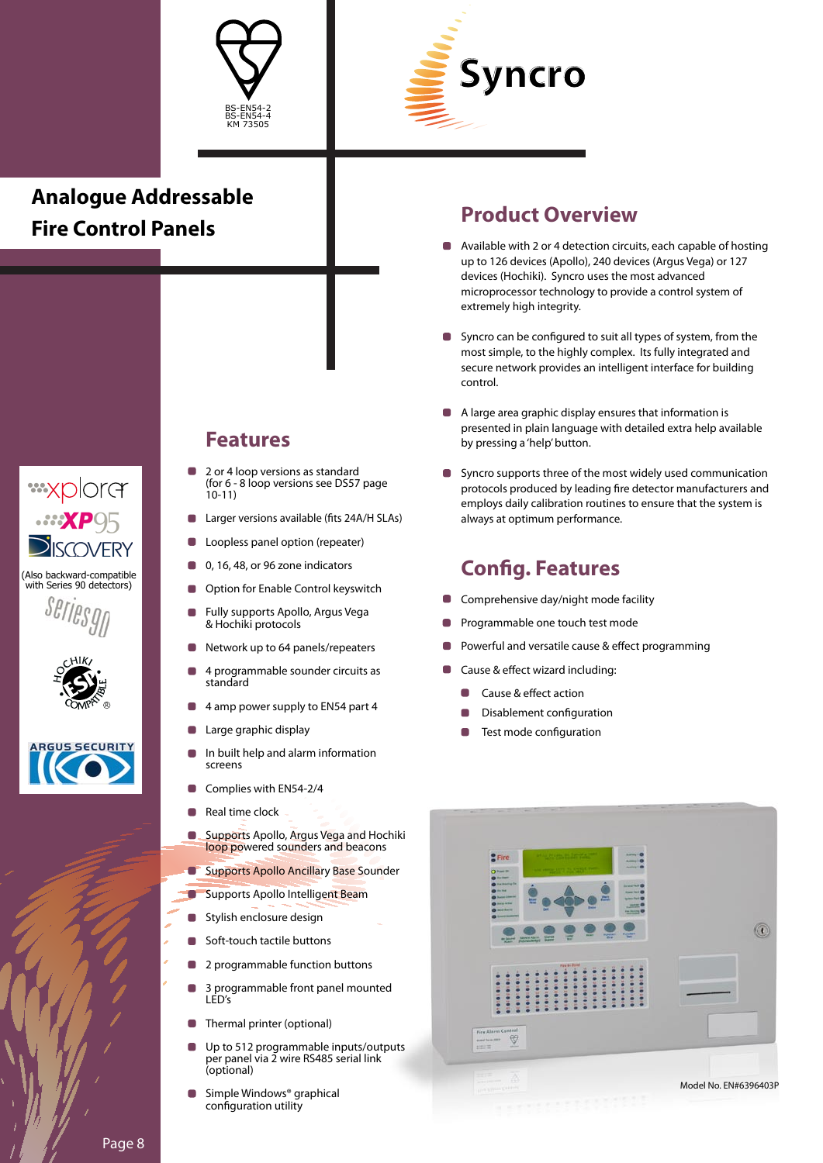



# **Analogue Addressable Fire Control Panels**









### **Features**

- 2 or 4 loop versions as standard (for 6 - 8 loop versions see DS57 page 10-11)
- Larger versions available (fits 24A/H SLAs)
- Loopless panel option (repeater)  $\Box$
- 0, 16, 48, or 96 zone indicators
- Option for Enable Control keyswitch
- Fully supports Apollo, Argus Vega & Hochiki protocols
- Network up to 64 panels/repeaters
- 4 programmable sounder circuits as standard
- 4 amp power supply to EN54 part 4
- Large graphic display n
- In built help and alarm information screens
- Complies with EN54-2/4 O
- Real time clock
- $\Box$ Supports Apollo, Argus Vega and Hochiki loop powered sounders and beacons
- $\blacksquare$ Supports Apollo Ancillary Base Sounder
- Supports Apollo Intelligent Beam
- **Stylish enclosure design**
- Soft-touch tactile buttons
- 2 programmable function buttons
- 3 programmable front panel mounted LED's
- Thermal printer (optional)
- Up to 512 programmable inputs/outputs per panel via 2 wire RS485 serial link (optional)
- Simple Windows® graphical configuration utility

#### **Product Overview**

- Available with 2 or 4 detection circuits, each capable of hosting up to 126 devices (Apollo), 240 devices (Argus Vega) or 127 devices (Hochiki). Syncro uses the most advanced microprocessor technology to provide a control system of extremely high integrity.
- Syncro can be configured to suit all types of system, from the most simple, to the highly complex. Its fully integrated and secure network provides an intelligent interface for building control.
- A large area graphic display ensures that information is presented in plain language with detailed extra help available by pressing a 'help' button.
- **Syncro supports three of the most widely used communication** protocols produced by leading fire detector manufacturers and employs daily calibration routines to ensure that the system is always at optimum performance.

#### **Config. Features**

- Comprehensive day/night mode facility
- Programmable one touch test mode
- Powerful and versatile cause & effect programming
- Cause & effect wizard including:
	- Cause & effect action
	- Disablement configuration
	- Test mode configuration



Page 8